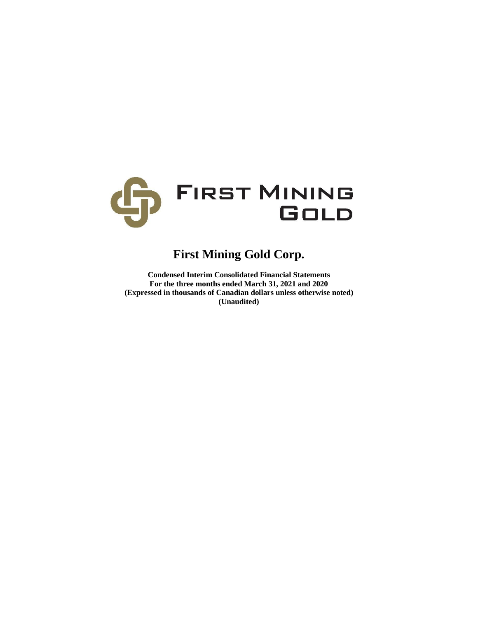

# **First Mining Gold Corp.**

**Condensed Interim Consolidated Financial Statements For the three months ended March 31, 2021 and 2020 (Expressed in thousands of Canadian dollars unless otherwise noted) (Unaudited)**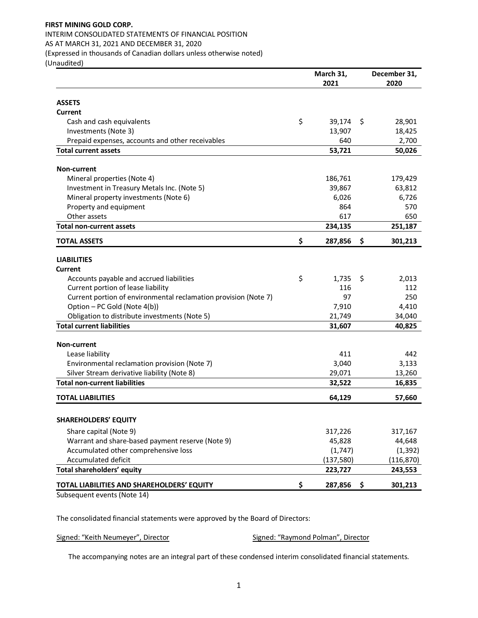# **FIRST MINING GOLD CORP.**  INTERIM CONSOLIDATED STATEMENTS OF FINANCIAL POSITION AS AT MARCH 31, 2021 AND DECEMBER 31, 2020 (Expressed in thousands of Canadian dollars unless otherwise noted)

(Unaudited)

|                                                                                          | March 31,         |    | December 31,      |
|------------------------------------------------------------------------------------------|-------------------|----|-------------------|
|                                                                                          | 2021              |    | 2020              |
| <b>ASSETS</b>                                                                            |                   |    |                   |
| Current                                                                                  |                   |    |                   |
| Cash and cash equivalents                                                                | \$<br>39,174      | \$ | 28,901            |
| Investments (Note 3)                                                                     | 13,907            |    | 18,425            |
| Prepaid expenses, accounts and other receivables                                         | 640               |    | 2,700             |
| <b>Total current assets</b>                                                              | 53,721            |    | 50,026            |
|                                                                                          |                   |    |                   |
| Non-current                                                                              |                   |    |                   |
| Mineral properties (Note 4)                                                              | 186,761           |    | 179,429           |
| Investment in Treasury Metals Inc. (Note 5)                                              | 39,867            |    | 63,812            |
| Mineral property investments (Note 6)                                                    | 6,026             |    | 6,726             |
| Property and equipment                                                                   | 864               |    | 570               |
| Other assets                                                                             | 617               |    | 650               |
| <b>Total non-current assets</b>                                                          | 234,135           |    | 251,187           |
| <b>TOTAL ASSETS</b>                                                                      | \$<br>287,856     | \$ | 301,213           |
| <b>LIABILITIES</b>                                                                       |                   |    |                   |
| <b>Current</b>                                                                           |                   |    |                   |
| Accounts payable and accrued liabilities                                                 | \$<br>1,735       | \$ | 2,013             |
| Current portion of lease liability                                                       | 116               |    | 112               |
| Current portion of environmental reclamation provision (Note 7)                          | 97                |    | 250               |
| Option - PC Gold (Note 4(b))                                                             | 7,910             |    | 4,410             |
| Obligation to distribute investments (Note 5)                                            | 21,749            |    | 34,040            |
| <b>Total current liabilities</b>                                                         | 31,607            |    | 40,825            |
|                                                                                          |                   |    |                   |
| <b>Non-current</b>                                                                       |                   |    |                   |
| Lease liability                                                                          | 411               |    | 442               |
| Environmental reclamation provision (Note 7)                                             | 3,040             |    | 3,133             |
| Silver Stream derivative liability (Note 8)                                              | 29,071            |    | 13,260            |
| <b>Total non-current liabilities</b>                                                     | 32,522            |    | 16,835            |
| <b>TOTAL LIABILITIES</b>                                                                 | 64,129            |    | 57,660            |
| <b>SHAREHOLDERS' EQUITY</b>                                                              |                   |    |                   |
|                                                                                          |                   |    |                   |
| Share capital (Note 9)                                                                   | 317,226<br>45,828 |    | 317,167<br>44,648 |
| Warrant and share-based payment reserve (Note 9)<br>Accumulated other comprehensive loss | (1, 747)          |    | (1, 392)          |
| Accumulated deficit                                                                      | (137, 580)        |    | (116, 870)        |
| Total shareholders' equity                                                               | 223,727           |    | 243,553           |
|                                                                                          |                   |    |                   |
| TOTAL LIABILITIES AND SHAREHOLDERS' EQUITY<br>$Cubcount$ and $A$                         | \$<br>287,856     | Ş  | 301,213           |

Subsequent events (Note 14)

The consolidated financial statements were approved by the Board of Directors:

Signed: "Keith Neumeyer", Director Signed: "Raymond Polman", Director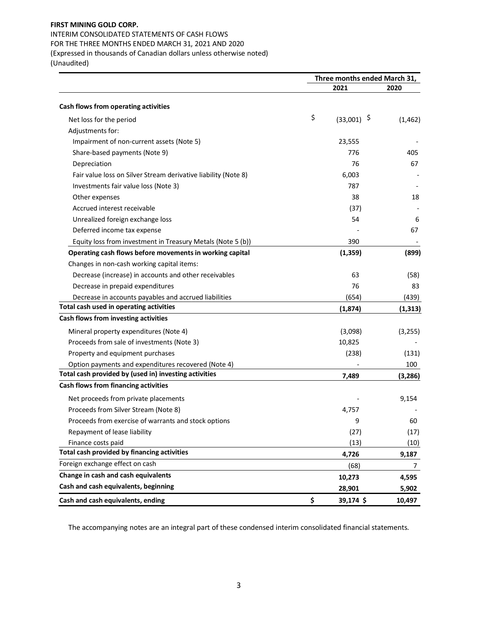INTERIM CONSOLIDATED STATEMENTS OF CASH FLOWS FOR THE THREE MONTHS ENDED MARCH 31, 2021 AND 2020 (Expressed in thousands of Canadian dollars unless otherwise noted) (Unaudited)

|                                                                | Three months ended March 31, |               |          |  |  |
|----------------------------------------------------------------|------------------------------|---------------|----------|--|--|
|                                                                |                              | 2021          | 2020     |  |  |
| Cash flows from operating activities                           |                              |               |          |  |  |
| Net loss for the period                                        | \$                           | $(33,001)$ \$ | (1, 462) |  |  |
| Adjustments for:                                               |                              |               |          |  |  |
| Impairment of non-current assets (Note 5)                      |                              | 23,555        |          |  |  |
| Share-based payments (Note 9)                                  |                              | 776           | 405      |  |  |
| Depreciation                                                   |                              | 76            | 67       |  |  |
| Fair value loss on Silver Stream derivative liability (Note 8) |                              | 6,003         |          |  |  |
| Investments fair value loss (Note 3)                           |                              | 787           |          |  |  |
| Other expenses                                                 |                              | 38            | 18       |  |  |
| Accrued interest receivable                                    |                              | (37)          |          |  |  |
| Unrealized foreign exchange loss                               |                              | 54            | 6        |  |  |
| Deferred income tax expense                                    |                              |               | 67       |  |  |
| Equity loss from investment in Treasury Metals (Note 5 (b))    |                              | 390           |          |  |  |
| Operating cash flows before movements in working capital       |                              | (1, 359)      | (899)    |  |  |
| Changes in non-cash working capital items:                     |                              |               |          |  |  |
| Decrease (increase) in accounts and other receivables          |                              | 63            | (58)     |  |  |
| Decrease in prepaid expenditures                               |                              | 76            | 83       |  |  |
| Decrease in accounts payables and accrued liabilities          |                              | (654)         | (439)    |  |  |
| Total cash used in operating activities                        |                              | (1,874)       | (1, 313) |  |  |
| Cash flows from investing activities                           |                              |               |          |  |  |
| Mineral property expenditures (Note 4)                         |                              | (3,098)       | (3,255)  |  |  |
| Proceeds from sale of investments (Note 3)                     |                              | 10,825        |          |  |  |
| Property and equipment purchases                               |                              | (238)         | (131)    |  |  |
| Option payments and expenditures recovered (Note 4)            |                              |               | 100      |  |  |
| Total cash provided by (used in) investing activities          |                              | 7,489         | (3, 286) |  |  |
| Cash flows from financing activities                           |                              |               |          |  |  |
| Net proceeds from private placements                           |                              |               | 9,154    |  |  |
| Proceeds from Silver Stream (Note 8)                           |                              | 4,757         |          |  |  |
| Proceeds from exercise of warrants and stock options           |                              | 9             | 60       |  |  |
| Repayment of lease liability                                   |                              | (27)          | (17)     |  |  |
| Finance costs paid                                             |                              | (13)          | (10)     |  |  |
| Total cash provided by financing activities                    |                              | 4,726         | 9,187    |  |  |
| Foreign exchange effect on cash                                |                              | (68)          | 7        |  |  |
| Change in cash and cash equivalents                            |                              | 10,273        | 4,595    |  |  |
| Cash and cash equivalents, beginning                           |                              | 28,901        | 5,902    |  |  |
| Cash and cash equivalents, ending                              | \$                           | 39,174 \$     | 10,497   |  |  |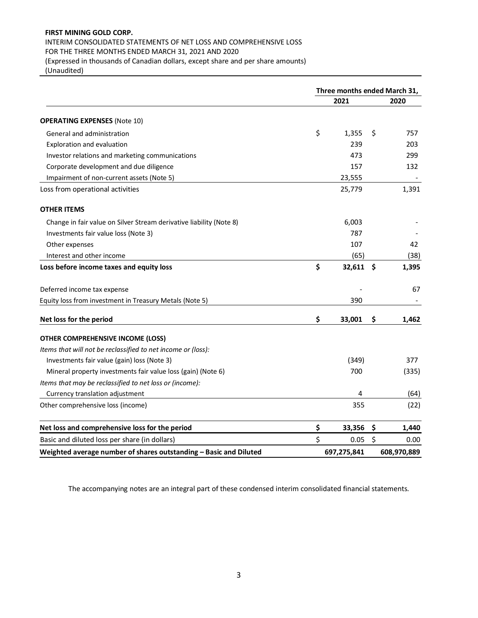# INTERIM CONSOLIDATED STATEMENTS OF NET LOSS AND COMPREHENSIVE LOSS

FOR THE THREE MONTHS ENDED MARCH 31, 2021 AND 2020

(Expressed in thousands of Canadian dollars, except share and per share amounts) (Unaudited)

|                                                                     | Three months ended March 31, |         |             |
|---------------------------------------------------------------------|------------------------------|---------|-------------|
|                                                                     | 2021                         |         | 2020        |
| <b>OPERATING EXPENSES (Note 10)</b>                                 |                              |         |             |
| General and administration                                          | \$<br>1,355                  | \$      | 757         |
| Exploration and evaluation                                          | 239                          |         | 203         |
| Investor relations and marketing communications                     | 473                          |         | 299         |
| Corporate development and due diligence                             | 157                          |         | 132         |
| Impairment of non-current assets (Note 5)                           | 23,555                       |         |             |
| Loss from operational activities                                    | 25,779                       |         | 1,391       |
| <b>OTHER ITEMS</b>                                                  |                              |         |             |
| Change in fair value on Silver Stream derivative liability (Note 8) | 6,003                        |         |             |
| Investments fair value loss (Note 3)                                | 787                          |         |             |
| Other expenses                                                      | 107                          |         | 42          |
| Interest and other income                                           | (65)                         |         | (38)        |
| Loss before income taxes and equity loss                            | \$<br>32,611                 | \$      | 1,395       |
| Deferred income tax expense                                         |                              |         | 67          |
| Equity loss from investment in Treasury Metals (Note 5)             | 390                          |         |             |
| Net loss for the period                                             | \$<br>33,001                 | \$      | 1,462       |
| OTHER COMPREHENSIVE INCOME (LOSS)                                   |                              |         |             |
| Items that will not be reclassified to net income or (loss):        |                              |         |             |
| Investments fair value (gain) loss (Note 3)                         | (349)                        |         | 377         |
| Mineral property investments fair value loss (gain) (Note 6)        | 700                          |         | (335)       |
| Items that may be reclassified to net loss or (income):             |                              |         |             |
| Currency translation adjustment                                     | 4                            |         | (64)        |
| Other comprehensive loss (income)                                   | 355                          |         | (22)        |
| Net loss and comprehensive loss for the period                      | \$<br>33,356                 | \$      | 1,440       |
| Basic and diluted loss per share (in dollars)                       | \$<br>0.05                   | $\zeta$ | 0.00        |
| Weighted average number of shares outstanding - Basic and Diluted   | 697,275,841                  |         | 608,970,889 |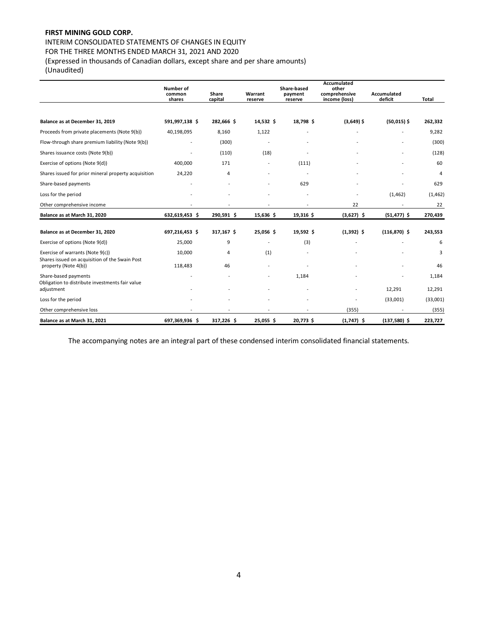INTERIM CONSOLIDATED STATEMENTS OF CHANGES IN EQUITY

FOR THE THREE MONTHS ENDED MARCH 31, 2021 AND 2020

(Expressed in thousands of Canadian dollars, except share and per share amounts)

(Unaudited)

|                                                                                    | <b>Number of</b><br>Share-based<br>Share<br>Warrant<br>common<br>payment |            |                          |                          | Accumulated<br>other<br>comprehensive | Accumulated     |          |
|------------------------------------------------------------------------------------|--------------------------------------------------------------------------|------------|--------------------------|--------------------------|---------------------------------------|-----------------|----------|
|                                                                                    | shares                                                                   | capital    | reserve                  | reserve                  | income (loss)                         | deficit         | Total    |
|                                                                                    |                                                                          |            |                          |                          |                                       |                 |          |
| Balance as at December 31, 2019                                                    | 591,997,138 \$                                                           | 282,666 \$ | 14,532 \$                | 18,798 \$                | $(3,649)$ \$                          | $(50,015)$ \$   | 262,332  |
| Proceeds from private placements (Note 9(b))                                       | 40,198,095                                                               | 8,160      | 1,122                    |                          |                                       |                 | 9,282    |
| Flow-through share premium liability (Note 9(b))                                   |                                                                          | (300)      |                          |                          |                                       |                 | (300)    |
| Shares issuance costs (Note 9(b))                                                  |                                                                          | (110)      | (18)                     |                          |                                       |                 | (128)    |
| Exercise of options (Note 9(d))                                                    | 400.000                                                                  | 171        |                          | (111)                    |                                       |                 | 60       |
| Shares issued for prior mineral property acquisition                               | 24,220                                                                   | 4          | $\overline{\phantom{a}}$ | $\overline{a}$           |                                       |                 | 4        |
| Share-based payments                                                               |                                                                          |            |                          | 629                      |                                       |                 | 629      |
| Loss for the period                                                                |                                                                          |            |                          |                          |                                       | (1, 462)        | (1, 462) |
| Other comprehensive income                                                         |                                                                          |            |                          | $\overline{\phantom{a}}$ | 22                                    |                 | 22       |
| Balance as at March 31, 2020                                                       | 632,619,453 \$                                                           | 290,591 \$ | 15,636 \$                | 19,316 \$                | $(3,627)$ \$                          | $(51, 477)$ \$  | 270,439  |
| Balance as at December 31, 2020                                                    | 697,216,453 \$                                                           | 317,167 \$ | 25,056 \$                | 19,592 \$                | $(1,392)$ \$                          | $(116, 870)$ \$ | 243,553  |
| Exercise of options (Note 9(d))                                                    | 25,000                                                                   | 9          |                          | (3)                      |                                       |                 | 6        |
| Exercise of warrants (Note 9(c))<br>Shares issued on acquisition of the Swain Post | 10,000                                                                   | 4          | (1)                      |                          |                                       |                 | 3        |
| property (Note 4(b))                                                               | 118,483                                                                  | 46         |                          |                          |                                       |                 | 46       |
| Share-based payments<br>Obligation to distribute investments fair value            |                                                                          |            |                          | 1,184                    |                                       |                 | 1,184    |
| adjustment                                                                         |                                                                          |            |                          |                          |                                       | 12,291          | 12,291   |
| Loss for the period                                                                |                                                                          |            |                          |                          |                                       | (33,001)        | (33,001) |
| Other comprehensive loss                                                           |                                                                          |            |                          |                          | (355)                                 |                 | (355)    |
| Balance as at March 31, 2021                                                       | 697,369,936 \$                                                           | 317,226 \$ | 25,055 \$                | 20,773 \$                | $(1,747)$ \$                          | $(137,580)$ \$  | 223,727  |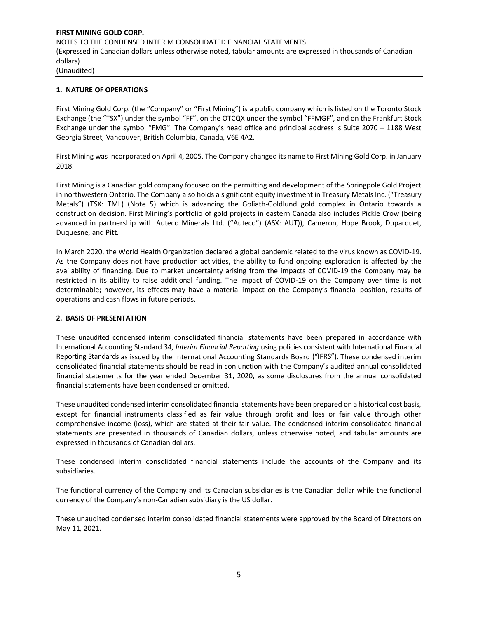## **1. NATURE OF OPERATIONS**

First Mining Gold Corp. (the "Company" or "First Mining") is a public company which is listed on the Toronto Stock Exchange (the "TSX") under the symbol "FF", on the OTCQX under the symbol "FFMGF", and on the Frankfurt Stock Exchange under the symbol "FMG". The Company's head office and principal address is Suite 2070 – 1188 West Georgia Street, Vancouver, British Columbia, Canada, V6E 4A2.

First Mining was incorporated on April 4, 2005. The Company changed its name to First Mining Gold Corp. in January 2018.

First Mining is a Canadian gold company focused on the permitting and development of the Springpole Gold Project in northwestern Ontario. The Company also holds a significant equity investment in Treasury Metals Inc. ("Treasury Metals") (TSX: TML) (Note 5) which is advancing the Goliath-Goldlund gold complex in Ontario towards a construction decision. First Mining's portfolio of gold projects in eastern Canada also includes Pickle Crow (being advanced in partnership with Auteco Minerals Ltd. ("Auteco") (ASX: AUT)), Cameron, Hope Brook, Duparquet, Duquesne, and Pitt.

In March 2020, the World Health Organization declared a global pandemic related to the virus known as COVID-19. As the Company does not have production activities, the ability to fund ongoing exploration is affected by the availability of financing. Due to market uncertainty arising from the impacts of COVID-19 the Company may be restricted in its ability to raise additional funding. The impact of COVID-19 on the Company over time is not determinable; however, its effects may have a material impact on the Company's financial position, results of operations and cash flows in future periods.

#### **2. BASIS OF PRESENTATION**

These unaudited condensed interim consolidated financial statements have been prepared in accordance with International Accounting Standard 34, *Interim Financial Reporting* using policies consistent with International Financial Reporting Standards as issued by the International Accounting Standards Board ("IFRS"). These condensed interim consolidated financial statements should be read in conjunction with the Company's audited annual consolidated financial statements for the year ended December 31, 2020, as some disclosures from the annual consolidated financial statements have been condensed or omitted.

These unaudited condensed interim consolidated financial statements have been prepared on a historical cost basis, except for financial instruments classified as fair value through profit and loss or fair value through other comprehensive income (loss), which are stated at their fair value. The condensed interim consolidated financial statements are presented in thousands of Canadian dollars, unless otherwise noted, and tabular amounts are expressed in thousands of Canadian dollars.

These condensed interim consolidated financial statements include the accounts of the Company and its subsidiaries.

The functional currency of the Company and its Canadian subsidiaries is the Canadian dollar while the functional currency of the Company's non-Canadian subsidiary is the US dollar.

These unaudited condensed interim consolidated financial statements were approved by the Board of Directors on May 11, 2021.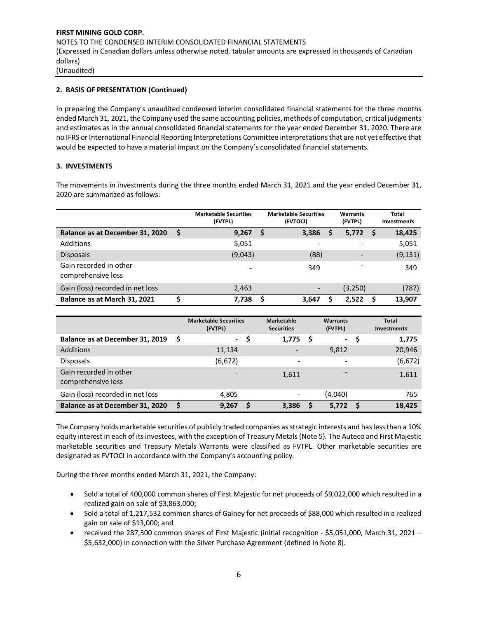## **2. BASIS OF PRESENTATION (Continued)**

In preparing the Company's unaudited condensed interim consolidated financial statements for the three months ended March 31, 2021, the Company used the same accounting policies, methods of computation, critical judgments and estimates as in the annual consolidated financial statements for the year ended December 31, 2020. There are no IFRS or International Financial Reporting Interpretations Committee interpretations that are not yet effective that would be expected to have a material impact on the Company's consolidated financial statements.

## **3. INVESTMENTS**

The movements in investments during the three months ended March 31, 2021 and the year ended December 31, 2020 are summarized as follows:

|                                              | <b>Marketable Securities</b><br>(FVTPL) | <b>Marketable Securities</b><br>(FVTOCI) |   | Warrants<br>(FVTPL)      |     | Total<br>Investments |
|----------------------------------------------|-----------------------------------------|------------------------------------------|---|--------------------------|-----|----------------------|
| Balance as at December 31, 2020              | 9,267                                   | 3,386                                    | S | 5,772                    | - S | 18,425               |
| Additions                                    | 5,051                                   |                                          |   | $\overline{\phantom{0}}$ |     | 5,051                |
| <b>Disposals</b>                             | (9,043)                                 | (88)                                     |   | $\overline{\phantom{a}}$ |     | (9, 131)             |
| Gain recorded in other<br>comprehensive loss |                                         | 349                                      |   | $\overline{\phantom{a}}$ |     | 349                  |
| Gain (loss) recorded in net loss             | 2,463                                   |                                          |   | (3,250)                  |     | (787)                |
| Balance as at March 31, 2021                 | 7,738                                   | 3,647                                    |   | 2.522                    |     | 13,907               |

|                                              |     | <b>Marketable Securities</b><br>(FVTPL) | Marketable<br><b>Securities</b> |     | Warrants<br>(FVTPL) | Total<br>Investments |
|----------------------------------------------|-----|-----------------------------------------|---------------------------------|-----|---------------------|----------------------|
| Balance as at December 31, 2019              | - S | $\sim$                                  | 1,775                           | - S | ۰.                  | 1,775                |
| <b>Additions</b>                             |     | 11,134                                  |                                 |     | 9,812               | 20,946               |
| <b>Disposals</b>                             |     | (6, 672)                                | $\overline{\phantom{a}}$        |     | -                   | (6, 672)             |
| Gain recorded in other<br>comprehensive loss |     |                                         | 1,611                           |     |                     | 1,611                |
| Gain (loss) recorded in net loss             |     | 4,805                                   | ۰                               |     | (4,040)             | 765                  |
| Balance as at December 31, 2020              |     | 9,267                                   | 3,386                           | S   | 5,772               | 18,425               |

The Company holds marketable securities of publicly traded companies as strategic interests and has less than a 10% equity interest in each of itsinvestees, with the exception of Treasury Metals(Note 5). The Auteco and First Majestic marketable securities and Treasury Metals Warrants were classified as FVTPL. Other marketable securities are designated as FVTOCI in accordance with the Company's accounting policy.

During the three months ended March 31, 2021, the Company:

- Sold a total of 400,000 common shares of First Majestic for net proceeds of \$9,022,000 which resulted in a realized gain on sale of \$3,863,000;
- Sold a total of 1,217,532 common shares of Gainey for net proceeds of \$88,000 which resulted in a realized gain on sale of \$13,000; and
- received the 287,300 common shares of First Majestic (initial recognition \$5,051,000, March 31, 2021 \$5,632,000) in connection with the Silver Purchase Agreement (defined in Note 8).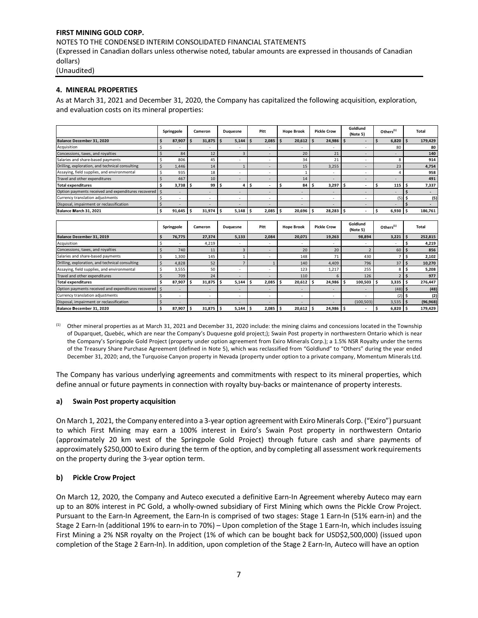NOTES TO THE CONDENSED INTERIM CONSOLIDATED FINANCIAL STATEMENTS

(Expressed in Canadian dollars unless otherwise noted, tabular amounts are expressed in thousands of Canadian dollars)

(Unaudited)

## **4. MINERAL PROPERTIES**

As at March 31, 2021 and December 31, 2020, the Company has capitalized the following acquisition, exploration, and evaluation costs on its mineral properties:

|                                                          |         | Springpole     | Cameron                  |     | Duquesne                 |   | Pitt  | <b>Hope Brook</b> |    | <b>Pickle Crow</b>       |     | Goldlund<br>(Note 5)     | Others $(1)$             |    | Total   |
|----------------------------------------------------------|---------|----------------|--------------------------|-----|--------------------------|---|-------|-------------------|----|--------------------------|-----|--------------------------|--------------------------|----|---------|
| Balance December 31, 2020                                |         | 87,907         | 31,875                   | . Ś | 5,144                    | Ś | 2,085 | 20,612            | Ŝ  | 24,986                   | . Ś |                          | 6,820                    | \$ | 179,429 |
| Acquisition                                              |         |                | $\overline{a}$           |     |                          |   |       | ٠                 |    |                          |     |                          | 80                       |    | 80      |
| Concessions, taxes, and royalties                        |         | 84             | 12                       |     | 3                        |   |       | 20                |    | 21                       |     |                          | $\overline{\phantom{a}}$ |    | 140     |
| Salaries and share-based payments                        |         | 806            | 45                       |     | $\overline{\phantom{a}}$ |   |       | 34                |    | 21                       |     |                          | 8                        |    | 914     |
| Drilling, exploration, and technical consulting          | $\zeta$ | 1,446          | 14                       |     |                          |   |       | 15                |    | 3,255                    |     |                          | 23                       |    | 4,754   |
| Assaying, field supplies, and environmental              |         | 935            | 18                       |     | $\overline{\phantom{a}}$ |   |       |                   |    | $\overline{\phantom{a}}$ |     |                          |                          |    | 958     |
| Travel and other expenditures                            |         | 467            | 10                       |     | $\overline{\phantom{a}}$ |   |       | 14                |    | $\overline{\phantom{a}}$ |     |                          | $\overline{\phantom{a}}$ |    | 491     |
| <b>Total expenditures</b>                                | Ś       | $3,738$ \$     | 99                       | -S  | 4                        | Ś |       | 84                | -S | 3,297                    | s   |                          | 115                      |    | 7,337   |
| Option payments received and expenditures recovered   \$ |         | $\sim$         | ٠                        |     | $\overline{a}$           |   |       | -                 |    |                          |     |                          | $\overline{\phantom{a}}$ |    |         |
| Currency translation adjustments                         |         | $\overline{a}$ | $\overline{\phantom{a}}$ |     | ٠                        |   |       | ٠                 |    | $\overline{\phantom{a}}$ |     |                          | (5)                      |    | (5)     |
| Disposal, impairment or reclassification                 |         |                | ۰                        |     | $\sim$                   |   |       | ۰                 |    | $\overline{a}$           |     |                          | $\overline{\phantom{a}}$ |    |         |
| Balance March 31, 2021                                   | Ś       | 91,645         | 31,974                   | -S  | 5,148                    |   | 2,085 | 20,696            | -S | 28,283                   |     | $\overline{\phantom{a}}$ | 6,930                    |    | 186,761 |
|                                                          |         |                |                          |     |                          |   |       |                   |    |                          |     |                          |                          |    |         |
|                                                          |         | Springpole     | Cameron                  |     | Duguesne                 |   | Pitt  | <b>Hope Brook</b> |    | <b>Pickle Crow</b>       |     | Goldlund<br>(Note 5)     | Others $(1)$             |    | Total   |
| Balance December 31, 2019                                | Ś       | 76,775         | 27,374                   |     | 5,133                    |   | 2,084 | 20,071            |    | 19,263                   |     | 98,894                   | 3,221                    | گ، | 252,815 |
| Acquisition                                              |         | $\overline{a}$ | 4,219                    |     | $\overline{\phantom{a}}$ |   |       | ۰                 |    | $\overline{\phantom{a}}$ |     |                          | $\overline{\phantom{a}}$ |    | 4,219   |
| Concessions taxes and royalties                          | ć       | 740            | 11                       |     | $\mathbf{\Omega}$        |   |       | 20                |    | 20                       |     | $\mathcal{L}$            | so I ¢                   |    | 956     |

| Acquisition                                              |        | 4,219                    |       |       |        |        |            |          | 4,219     |
|----------------------------------------------------------|--------|--------------------------|-------|-------|--------|--------|------------|----------|-----------|
| Concessions, taxes, and royalties                        | 740    | 11                       |       |       | 20     | 20     |            | 60       | 856       |
| Salaries and share-based payments                        | 1.300  | 145                      |       |       | 148    |        | 430        |          | 2,102     |
| Drilling, exploration, and technical consulting          | 4,828  | 52                       |       |       | 140    | 4,409  | 796        | 37       | 10,270    |
| Assaying, field supplies, and environmental              | 3,555  | 50                       |       |       | 123    | 1,217  | 255        |          | 5,208     |
| Travel and other expenditures                            | 709    | 24                       |       |       | 110    |        | 126        |          | 977       |
| <b>Total expenditures</b>                                | 87,907 | 31,875                   | 5,144 | 2,085 | 20,612 | 24,986 | 100,503    | 3,335    | 276,447   |
| Option payments received and expenditures recovered   \$ |        | ۰                        |       |       |        |        |            | $(48)$ : | (48)      |
| Currency translation adjustments                         |        |                          |       |       |        |        |            |          | (2)       |
| Disposal, impairment or reclassification                 |        | $\overline{\phantom{a}}$ |       |       |        |        | (100, 503) | 3,535    | (96, 968) |
| Balance December 31, 2020                                | 87,907 | 31,875                   | 5.144 | 2,085 | 20,612 | 24,986 |            | 6,820    | 179,429   |

(1) Other mineral properties as at March 31, 2021 and December 31, 2020 include: the mining claims and concessions located in the Township of Duparquet, Quebéc, which are near the Company's Duquesne gold project;); Swain Post property in northwestern Ontario which is near the Company's Springpole Gold Project (property under option agreement from Exiro Minerals Corp.); a 1.5% NSR Royalty under the terms of the Treasury Share Purchase Agreement (defined in Note 5), which was reclassified from "Goldlund" to "Others" during the year ended December 31, 2020; and, the Turquoise Canyon property in Nevada (property under option to a private company, Momentum Minerals Ltd.

The Company has various underlying agreements and commitments with respect to its mineral properties, which define annual or future payments in connection with royalty buy-backs or maintenance of property interests.

## **a) Swain Post property acquisition**

On March 1, 2021, the Company entered into a 3-year option agreement with Exiro Minerals Corp. ("Exiro") pursuant to which First Mining may earn a 100% interest in Exiro's Swain Post property in northwestern Ontario (approximately 20 km west of the Springpole Gold Project) through future cash and share payments of approximately \$250,000 to Exiro during the term of the option, and by completing all assessment work requirements on the property during the 3-year option term.

## **b) Pickle Crow Project**

On March 12, 2020, the Company and Auteco executed a definitive Earn-In Agreement whereby Auteco may earn up to an 80% interest in PC Gold, a wholly-owned subsidiary of First Mining which owns the Pickle Crow Project. Pursuant to the Earn-In Agreement, the Earn-In is comprised of two stages: Stage 1 Earn-In (51% earn-in) and the Stage 2 Earn-In (additional 19% to earn-in to 70%) – Upon completion of the Stage 1 Earn-In, which includes issuing First Mining a 2% NSR royalty on the Project (1% of which can be bought back for USD\$2,500,000) (issued upon completion of the Stage 2 Earn-In). In addition, upon completion of the Stage 2 Earn-In, Auteco will have an option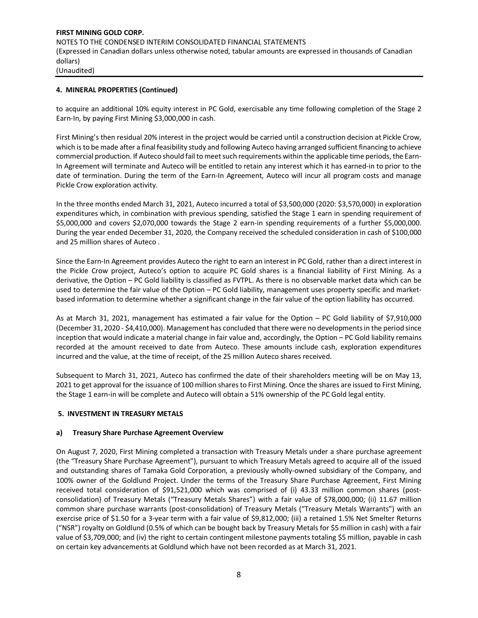## **4. MINERAL PROPERTIES (Continued)**

to acquire an additional 10% equity interest in PC Gold, exercisable any time following completion of the Stage 2 Earn-In, by paying First Mining \$3,000,000 in cash.

First Mining's then residual 20% interest in the project would be carried until a construction decision at Pickle Crow, which is to be made after a final feasibility study and following Auteco having arranged sufficient financing to achieve commercial production. If Auteco should fail to meet such requirements within the applicable time periods, the Earn-In Agreement will terminate and Auteco will be entitled to retain any interest which it has earned-in to prior to the date of termination. During the term of the Earn-In Agreement, Auteco will incur all program costs and manage Pickle Crow exploration activity.

In the three months ended March 31, 2021, Auteco incurred a total of \$3,500,000 (2020: \$3,570,000) in exploration expenditures which, in combination with previous spending, satisfied the Stage 1 earn in spending requirement of \$5,000,000 and covers \$2,070,000 towards the Stage 2 earn-in spending requirements of a further \$5,000,000. During the year ended December 31, 2020, the Company received the scheduled consideration in cash of \$100,000 and 25 million shares of Auteco .

Since the Earn-In Agreement provides Auteco the right to earn an interest in PC Gold, rather than a direct interest in the Pickle Crow project, Auteco's option to acquire PC Gold shares is a financial liability of First Mining. As a derivative, the Option – PC Gold liability is classified as FVTPL. As there is no observable market data which can be used to determine the fair value of the Option – PC Gold liability, management uses property specific and marketbased information to determine whether a significant change in the fair value of the option liability has occurred.

As at March 31, 2021, management has estimated a fair value for the Option – PC Gold liability of \$7,910,000 (December 31, 2020 - \$4,410,000). Management has concluded that there were no developments in the period since inception that would indicate a material change in fair value and, accordingly, the Option – PC Gold liability remains recorded at the amount received to date from Auteco. These amounts include cash, exploration expenditures incurred and the value, at the time of receipt, of the 25 million Auteco shares received.

Subsequent to March 31, 2021, Auteco has confirmed the date of their shareholders meeting will be on May 13, 2021 to get approval for the issuance of 100 million shares to First Mining. Once the shares are issued to First Mining, the Stage 1 earn-in will be complete and Auteco will obtain a 51% ownership of the PC Gold legal entity.

## **5. INVESTMENT IN TREASURY METALS**

## **a) Treasury Share Purchase Agreement Overview**

On August 7, 2020, First Mining completed a transaction with Treasury Metals under a share purchase agreement (the "Treasury Share Purchase Agreement"), pursuant to which Treasury Metals agreed to acquire all of the issued and outstanding shares of Tamaka Gold Corporation, a previously wholly-owned subsidiary of the Company, and 100% owner of the Goldlund Project. Under the terms of the Treasury Share Purchase Agreement, First Mining received total consideration of \$91,521,000 which was comprised of (i) 43.33 million common shares (postconsolidation) of Treasury Metals ("Treasury Metals Shares") with a fair value of \$78,000,000; (ii) 11.67 million common share purchase warrants (post-consolidation) of Treasury Metals ("Treasury Metals Warrants") with an exercise price of \$1.50 for a 3-year term with a fair value of \$9,812,000; (iii) a retained 1.5% Net Smelter Returns ("NSR") royalty on Goldlund (0.5% of which can be bought back by Treasury Metals for \$5 million in cash) with a fair value of \$3,709,000; and (iv) the right to certain contingent milestone payments totaling \$5 million, payable in cash on certain key advancements at Goldlund which have not been recorded as at March 31, 2021.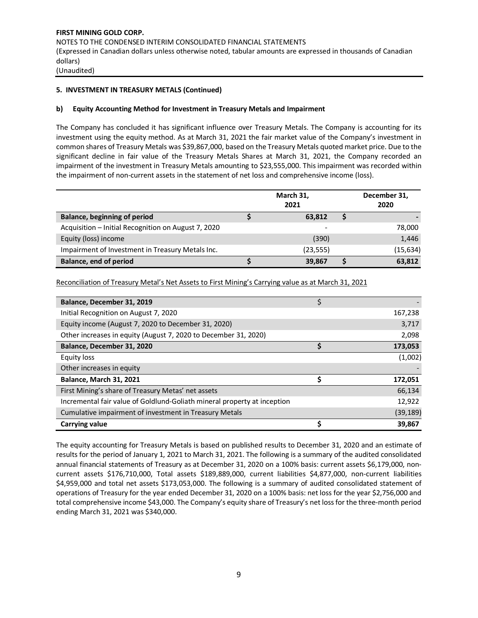## **5. INVESTMENT IN TREASURY METALS (Continued)**

## **b) Equity Accounting Method for Investment in Treasury Metals and Impairment**

The Company has concluded it has significant influence over Treasury Metals. The Company is accounting for its investment using the equity method. As at March 31, 2021 the fair market value of the Company's investment in common shares of Treasury Metals was \$39,867,000, based on the Treasury Metals quoted market price. Due to the significant decline in fair value of the Treasury Metals Shares at March 31, 2021, the Company recorded an impairment of the investment in Treasury Metals amounting to \$23,555,000. This impairment was recorded within the impairment of non-current assets in the statement of net loss and comprehensive income (loss).

|                                                     | March 31,<br>2021 | December 31,<br>2020 |           |
|-----------------------------------------------------|-------------------|----------------------|-----------|
| Balance, beginning of period                        | 63.812            |                      |           |
| Acquisition – Initial Recognition on August 7, 2020 |                   |                      | 78,000    |
| Equity (loss) income                                | (390)             |                      | 1,446     |
| Impairment of Investment in Treasury Metals Inc.    | (23, 555)         |                      | (15, 634) |
| Balance, end of period                              | 39,867            |                      | 63,812    |

Reconciliation of Treasury Metal's Net Assets to First Mining's Carrying value as at March 31, 2021

| Balance, December 31, 2019                                               | \$  |           |
|--------------------------------------------------------------------------|-----|-----------|
| Initial Recognition on August 7, 2020                                    |     | 167,238   |
| Equity income (August 7, 2020 to December 31, 2020)                      |     | 3,717     |
| Other increases in equity (August 7, 2020 to December 31, 2020)          |     | 2,098     |
| Balance, December 31, 2020                                               | Ś   | 173,053   |
| <b>Equity loss</b>                                                       |     | (1,002)   |
| Other increases in equity                                                |     |           |
| <b>Balance, March 31, 2021</b>                                           | \$. | 172,051   |
| First Mining's share of Treasury Metas' net assets                       |     | 66,134    |
| Incremental fair value of Goldlund-Goliath mineral property at inception |     | 12,922    |
| Cumulative impairment of investment in Treasury Metals                   |     | (39, 189) |
| <b>Carrying value</b>                                                    |     | 39,867    |

The equity accounting for Treasury Metals is based on published results to December 31, 2020 and an estimate of results for the period of January 1, 2021 to March 31, 2021. The following is a summary of the audited consolidated annual financial statements of Treasury as at December 31, 2020 on a 100% basis: current assets \$6,179,000, noncurrent assets \$176,710,000, Total assets \$189,889,000, current liabilities \$4,877,000, non-current liabilities \$4,959,000 and total net assets \$173,053,000. The following is a summary of audited consolidated statement of operations of Treasury for the year ended December 31, 2020 on a 100% basis: net loss for the year \$2,756,000 and total comprehensive income \$43,000. The Company's equity share of Treasury's net lossfor the three-month period ending March 31, 2021 was \$340,000.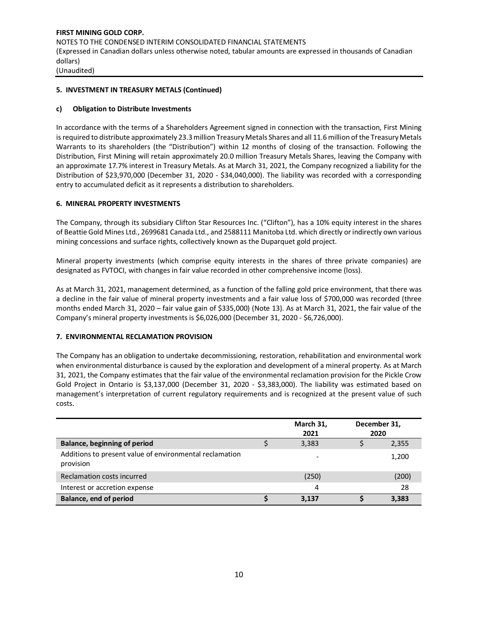## **5. INVESTMENT IN TREASURY METALS (Continued)**

## **c) Obligation to Distribute Investments**

In accordance with the terms of a Shareholders Agreement signed in connection with the transaction, First Mining is required to distribute approximately 23.3million Treasury Metals Shares and all 11.6 million of the Treasury Metals Warrants to its shareholders (the "Distribution") within 12 months of closing of the transaction. Following the Distribution, First Mining will retain approximately 20.0 million Treasury Metals Shares, leaving the Company with an approximate 17.7% interest in Treasury Metals. As at March 31, 2021, the Company recognized a liability for the Distribution of \$23,970,000 (December 31, 2020 - \$34,040,000). The liability was recorded with a corresponding entry to accumulated deficit as it represents a distribution to shareholders.

## **6. MINERAL PROPERTY INVESTMENTS**

The Company, through its subsidiary Clifton Star Resources Inc. ("Clifton"), has a 10% equity interest in the shares of Beattie Gold Mines Ltd., 2699681 Canada Ltd., and 2588111 Manitoba Ltd. which directly or indirectly own various mining concessions and surface rights, collectively known as the Duparquet gold project.

Mineral property investments (which comprise equity interests in the shares of three private companies) are designated as FVTOCI, with changes in fair value recorded in other comprehensive income (loss).

As at March 31, 2021, management determined, as a function of the falling gold price environment, that there was a decline in the fair value of mineral property investments and a fair value loss of \$700,000 was recorded (three months ended March 31, 2020 – fair value gain of \$335,000) (Note 13). As at March 31, 2021, the fair value of the Company's mineral property investments is \$6,026,000 (December 31, 2020 - \$6,726,000).

## **7. ENVIRONMENTAL RECLAMATION PROVISION**

The Company has an obligation to undertake decommissioning, restoration, rehabilitation and environmental work when environmental disturbance is caused by the exploration and development of a mineral property. As at March 31, 2021, the Company estimates that the fair value of the environmental reclamation provision for the Pickle Crow Gold Project in Ontario is \$3,137,000 (December 31, 2020 - \$3,383,000). The liability was estimated based on management's interpretation of current regulatory requirements and is recognized at the present value of such costs.

|                                                                      | March 31,<br>2021 | December 31,<br>2020 |
|----------------------------------------------------------------------|-------------------|----------------------|
| <b>Balance, beginning of period</b>                                  | 3,383             | 2,355                |
| Additions to present value of environmental reclamation<br>provision |                   | 1,200                |
| Reclamation costs incurred                                           | (250)             | (200)                |
| Interest or accretion expense                                        | 4                 | 28                   |
| Balance, end of period                                               | 3.137             | 3,383                |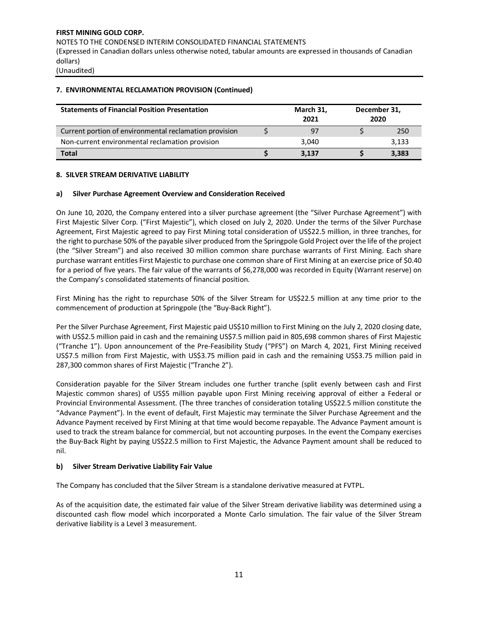# **FIRST MINING GOLD CORP.**  NOTES TO THE CONDENSED INTERIM CONSOLIDATED FINANCIAL STATEMENTS (Expressed in Canadian dollars unless otherwise noted, tabular amounts are expressed in thousands of Canadian dollars)

(Unaudited)

## **7. ENVIRONMENTAL RECLAMATION PROVISION (Continued)**

| <b>Statements of Financial Position Presentation</b>   | March 31,<br>2021 | December 31,<br>2020 |  |       |  |  |
|--------------------------------------------------------|-------------------|----------------------|--|-------|--|--|
| Current portion of environmental reclamation provision |                   | 97                   |  | 250   |  |  |
| Non-current environmental reclamation provision        |                   | 3.040                |  | 3,133 |  |  |
| <b>Total</b>                                           |                   | 3.137                |  | 3,383 |  |  |

#### **8. SILVER STREAM DERIVATIVE LIABILITY**

#### **a) Silver Purchase Agreement Overview and Consideration Received**

On June 10, 2020, the Company entered into a silver purchase agreement (the "Silver Purchase Agreement") with First Majestic Silver Corp. ("First Majestic"), which closed on July 2, 2020. Under the terms of the Silver Purchase Agreement, First Majestic agreed to pay First Mining total consideration of US\$22.5 million, in three tranches, for the right to purchase 50% of the payable silver produced from the Springpole Gold Project over the life of the project (the "Silver Stream") and also received 30 million common share purchase warrants of First Mining. Each share purchase warrant entitles First Majestic to purchase one common share of First Mining at an exercise price of \$0.40 for a period of five years. The fair value of the warrants of \$6,278,000 was recorded in Equity (Warrant reserve) on the Company's consolidated statements of financial position.

First Mining has the right to repurchase 50% of the Silver Stream for US\$22.5 million at any time prior to the commencement of production at Springpole (the "Buy-Back Right").

Per the Silver Purchase Agreement, First Majestic paid US\$10 million to First Mining on the July 2, 2020 closing date, with US\$2.5 million paid in cash and the remaining US\$7.5 million paid in 805,698 common shares of First Majestic ("Tranche 1"). Upon announcement of the Pre-Feasibility Study ("PFS") on March 4, 2021, First Mining received US\$7.5 million from First Majestic, with US\$3.75 million paid in cash and the remaining US\$3.75 million paid in 287,300 common shares of First Majestic ("Tranche 2").

Consideration payable for the Silver Stream includes one further tranche (split evenly between cash and First Majestic common shares) of US\$5 million payable upon First Mining receiving approval of either a Federal or Provincial Environmental Assessment. (The three tranches of consideration totaling US\$22.5 million constitute the "Advance Payment"). In the event of default, First Majestic may terminate the Silver Purchase Agreement and the Advance Payment received by First Mining at that time would become repayable. The Advance Payment amount is used to track the stream balance for commercial, but not accounting purposes. In the event the Company exercises the Buy-Back Right by paying US\$22.5 million to First Majestic, the Advance Payment amount shall be reduced to nil.

#### **b) Silver Stream Derivative Liability Fair Value**

The Company has concluded that the Silver Stream is a standalone derivative measured at FVTPL.

As of the acquisition date, the estimated fair value of the Silver Stream derivative liability was determined using a discounted cash flow model which incorporated a Monte Carlo simulation. The fair value of the Silver Stream derivative liability is a Level 3 measurement.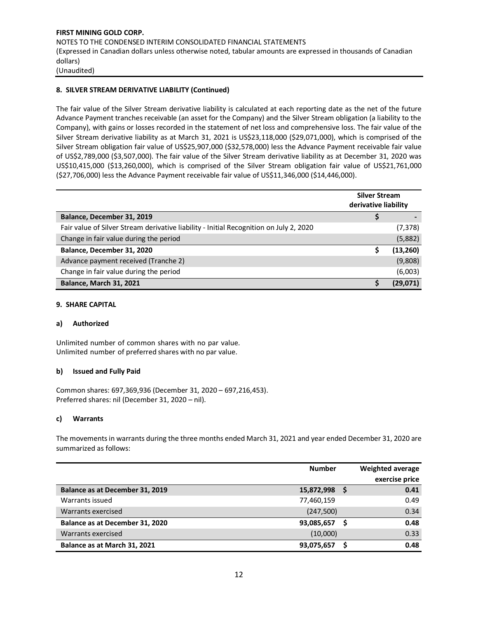## **FIRST MINING GOLD CORP.**  NOTES TO THE CONDENSED INTERIM CONSOLIDATED FINANCIAL STATEMENTS (Expressed in Canadian dollars unless otherwise noted, tabular amounts are expressed in thousands of Canadian dollars) (Unaudited)

## **8. SILVER STREAM DERIVATIVE LIABILITY (Continued)**

The fair value of the Silver Stream derivative liability is calculated at each reporting date as the net of the future Advance Payment tranches receivable (an asset for the Company) and the Silver Stream obligation (a liability to the Company), with gains or losses recorded in the statement of net loss and comprehensive loss. The fair value of the Silver Stream derivative liability as at March 31, 2021 is US\$23,118,000 (\$29,071,000), which is comprised of the Silver Stream obligation fair value of US\$25,907,000 (\$32,578,000) less the Advance Payment receivable fair value of US\$2,789,000 (\$3,507,000). The fair value of the Silver Stream derivative liability as at December 31, 2020 was US\$10,415,000 (\$13,260,000), which is comprised of the Silver Stream obligation fair value of US\$21,761,000 (\$27,706,000) less the Advance Payment receivable fair value of US\$11,346,000 (\$14,446,000).

|                                                                                        | <b>Silver Stream</b><br>derivative liability |           |
|----------------------------------------------------------------------------------------|----------------------------------------------|-----------|
| Balance, December 31, 2019                                                             |                                              |           |
| Fair value of Silver Stream derivative liability - Initial Recognition on July 2, 2020 |                                              | (7,378)   |
| Change in fair value during the period                                                 |                                              | (5,882)   |
| Balance, December 31, 2020                                                             |                                              | (13, 260) |
| Advance payment received (Tranche 2)                                                   |                                              | (9,808)   |
| Change in fair value during the period                                                 |                                              | (6,003)   |
| <b>Balance, March 31, 2021</b>                                                         |                                              | (29.071)  |

## **9. SHARE CAPITAL**

## **a) Authorized**

Unlimited number of common shares with no par value. Unlimited number of preferred shares with no par value.

## **b) Issued and Fully Paid**

Common shares: 697,369,936 (December 31, 2020 – 697,216,453). Preferred shares: nil (December 31, 2020 – nil).

#### **c) Warrants**

The movements in warrants during the three months ended March 31, 2021 and year ended December 31, 2020 are summarized as follows:

|                                 | <b>Number</b> | <b>Weighted average</b> |
|---------------------------------|---------------|-------------------------|
|                                 |               | exercise price          |
| Balance as at December 31, 2019 | 15,872,998    | 0.41                    |
| Warrants issued                 | 77,460,159    | 0.49                    |
| Warrants exercised              | (247,500)     | 0.34                    |
| Balance as at December 31, 2020 | 93,085,657    | 0.48                    |
| Warrants exercised              | (10,000)      | 0.33                    |
| Balance as at March 31, 2021    | 93,075,657    | 0.48                    |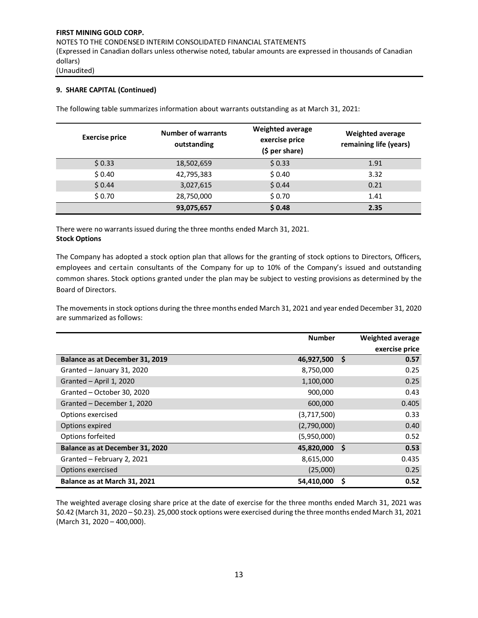## **9. SHARE CAPITAL (Continued)**

The following table summarizes information about warrants outstanding as at March 31, 2021:

| <b>Exercise price</b> | <b>Number of warrants</b><br>outstanding | <b>Weighted average</b><br>exercise price<br>$(5 per share)$ | <b>Weighted average</b><br>remaining life (years) |
|-----------------------|------------------------------------------|--------------------------------------------------------------|---------------------------------------------------|
| \$0.33                | 18,502,659                               | \$0.33                                                       | 1.91                                              |
| \$0.40                | 42,795,383                               | \$0.40                                                       | 3.32                                              |
| \$0.44                | 3,027,615                                | \$0.44                                                       | 0.21                                              |
| \$0.70                | 28,750,000                               | \$0.70                                                       | 1.41                                              |
|                       | 93,075,657                               | \$0.48                                                       | 2.35                                              |

There were no warrants issued during the three months ended March 31, 2021. **Stock Options**

The Company has adopted a stock option plan that allows for the granting of stock options to Directors, Officers, employees and certain consultants of the Company for up to 10% of the Company's issued and outstanding common shares. Stock options granted under the plan may be subject to vesting provisions as determined by the Board of Directors.

The movements in stock options during the three months ended March 31, 2021 and year ended December 31, 2020 are summarized as follows:

|                                 | <b>Number</b> |     | <b>Weighted average</b> |
|---------------------------------|---------------|-----|-------------------------|
|                                 |               |     | exercise price          |
| Balance as at December 31, 2019 | 46,927,500    | -\$ | 0.57                    |
| Granted - January 31, 2020      | 8,750,000     |     | 0.25                    |
| Granted - April 1, 2020         | 1,100,000     |     | 0.25                    |
| Granted - October 30, 2020      | 900,000       |     | 0.43                    |
| Granted - December 1, 2020      | 600,000       |     | 0.405                   |
| Options exercised               | (3,717,500)   |     | 0.33                    |
| Options expired                 | (2,790,000)   |     | 0.40                    |
| Options forfeited               | (5,950,000)   |     | 0.52                    |
| Balance as at December 31, 2020 | 45,820,000    | -\$ | 0.53                    |
| Granted - February 2, 2021      | 8,615,000     |     | 0.435                   |
| Options exercised               | (25,000)      |     | 0.25                    |
| Balance as at March 31, 2021    | 54,410,000    | S   | 0.52                    |

The weighted average closing share price at the date of exercise for the three months ended March 31, 2021 was \$0.42 (March 31, 2020 – \$0.23). 25,000 stock options were exercised during the three months ended March 31, 2021 (March 31, 2020 – 400,000).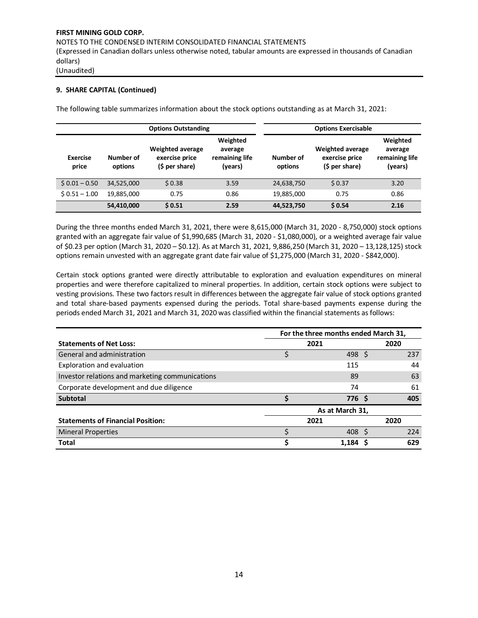## **9. SHARE CAPITAL (Continued)**

The following table summarizes information about the stock options outstanding as at March 31, 2021:

|                          |                      | <b>Options Outstanding</b>                                  |      | <b>Options Exercisable</b> |                                                             |                                                  |
|--------------------------|----------------------|-------------------------------------------------------------|------|----------------------------|-------------------------------------------------------------|--------------------------------------------------|
| <b>Exercise</b><br>price | Number of<br>options | <b>Weighted average</b><br>exercise price<br>(\$ per share) |      | Number of<br>options       | <b>Weighted average</b><br>exercise price<br>(\$ per share) | Weighted<br>average<br>remaining life<br>(years) |
| $$0.01 - 0.50$           | 34,525,000           | \$0.38                                                      | 3.59 | 24,638,750                 | \$0.37                                                      | 3.20                                             |
| $$0.51 - 1.00$           | 19,885,000           | 0.75                                                        | 0.86 | 19,885,000                 | 0.75                                                        | 0.86                                             |
|                          | 54,410,000           | \$0.51                                                      | 2.59 | 44,523,750                 | \$0.54                                                      | 2.16                                             |

During the three months ended March 31, 2021, there were 8,615,000 (March 31, 2020 - 8,750,000) stock options granted with an aggregate fair value of \$1,990,685 (March 31, 2020 - \$1,080,000), or a weighted average fair value of \$0.23 per option (March 31, 2020 – \$0.12). As at March 31, 2021, 9,886,250 (March 31, 2020 – 13,128,125) stock options remain unvested with an aggregate grant date fair value of \$1,275,000 (March 31, 2020 - \$842,000).

Certain stock options granted were directly attributable to exploration and evaluation expenditures on mineral properties and were therefore capitalized to mineral properties. In addition, certain stock options were subject to vesting provisions. These two factors result in differences between the aggregate fair value of stock options granted and total share-based payments expensed during the periods. Total share-based payments expense during the periods ended March 31, 2021 and March 31, 2020 was classified within the financial statements as follows:

|                                                 |      | For the three months ended March 31, |              |      |
|-------------------------------------------------|------|--------------------------------------|--------------|------|
| <b>Statements of Net Loss:</b>                  | 2021 |                                      | 2020         |      |
| General and administration                      |      | 498                                  | <sub>S</sub> | 237  |
| Exploration and evaluation                      |      | 115                                  |              | 44   |
| Investor relations and marketing communications |      | 89                                   |              | 63   |
| Corporate development and due diligence         |      | 74                                   |              | 61   |
| <b>Subtotal</b>                                 |      | 776 S                                |              | 405  |
|                                                 |      | As at March 31,                      |              |      |
| <b>Statements of Financial Position:</b>        |      | 2021                                 |              | 2020 |
| <b>Mineral Properties</b>                       |      | 408                                  |              | 224  |
| <b>Total</b>                                    |      | 1.184                                |              | 629  |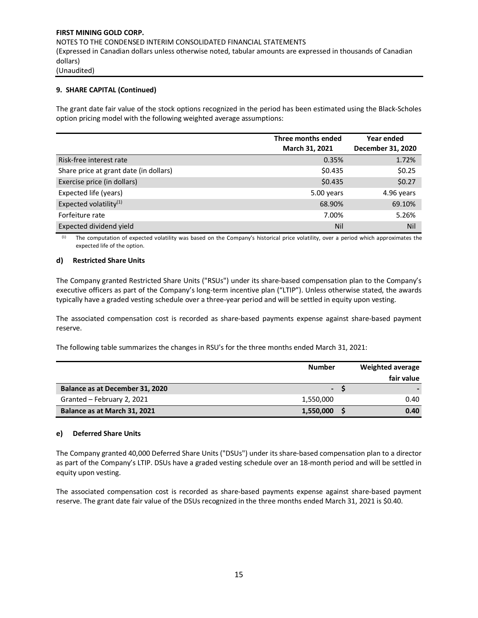## **9. SHARE CAPITAL (Continued)**

The grant date fair value of the stock options recognized in the period has been estimated using the Black-Scholes option pricing model with the following weighted average assumptions:

|                                        | Three months ended<br>March 31, 2021 | Year ended<br>December 31, 2020 |
|----------------------------------------|--------------------------------------|---------------------------------|
| Risk-free interest rate                | 0.35%                                | 1.72%                           |
| Share price at grant date (in dollars) | \$0.435                              | \$0.25                          |
| Exercise price (in dollars)            | \$0.435                              | \$0.27                          |
| Expected life (years)                  | 5.00 years                           | 4.96 years                      |
| Expected volatility <sup>(1)</sup>     | 68.90%                               | 69.10%                          |
| Forfeiture rate                        | 7.00%                                | 5.26%                           |
| Expected dividend yield                | Nil                                  | Nil                             |

(1) The computation of expected volatility was based on the Company's historical price volatility, over a period which approximates the expected life of the option.

#### **d) Restricted Share Units**

The Company granted Restricted Share Units ("RSUs") under its share-based compensation plan to the Company's executive officers as part of the Company's long-term incentive plan ("LTIP"). Unless otherwise stated, the awards typically have a graded vesting schedule over a three-year period and will be settled in equity upon vesting.

The associated compensation cost is recorded as share-based payments expense against share-based payment reserve.

The following table summarizes the changes in RSU's for the three months ended March 31, 2021:

|                                 | <b>Number</b>  | <b>Weighted average</b> |
|---------------------------------|----------------|-------------------------|
|                                 |                | fair value              |
| Balance as at December 31, 2020 | $\blacksquare$ |                         |
| Granted - February 2, 2021      | 1,550,000      | 0.40                    |
| Balance as at March 31, 2021    | 1,550,000      | 0.40                    |

#### **e) Deferred Share Units**

The Company granted 40,000 Deferred Share Units ("DSUs") under its share-based compensation plan to a director as part of the Company's LTIP. DSUs have a graded vesting schedule over an 18-month period and will be settled in equity upon vesting.

The associated compensation cost is recorded as share-based payments expense against share-based payment reserve. The grant date fair value of the DSUs recognized in the three months ended March 31, 2021 is \$0.40.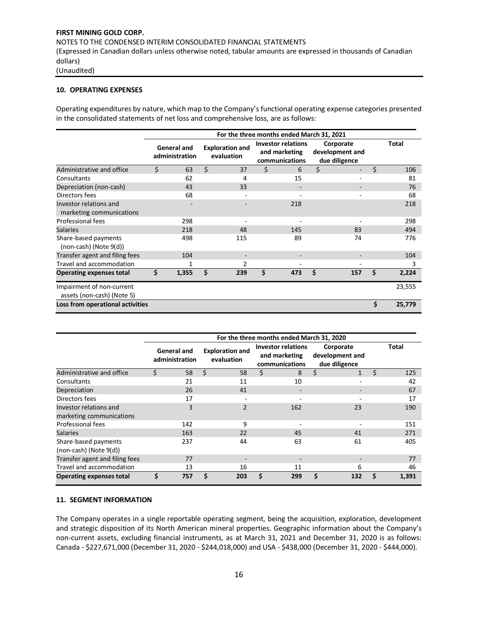# **FIRST MINING GOLD CORP.**  NOTES TO THE CONDENSED INTERIM CONSOLIDATED FINANCIAL STATEMENTS (Expressed in Canadian dollars unless otherwise noted, tabular amounts are expressed in thousands of Canadian dollars)

(Unaudited)

## **10. OPERATING EXPENSES**

Operating expenditures by nature, which map to the Company's functional operating expense categories presented in the consolidated statements of net loss and comprehensive loss, are as follows:

|                                                         | For the three months ended March 31, 2021 |                               |    |                                      |    |                                                              |    |                                               |    |              |  |  |  |  |
|---------------------------------------------------------|-------------------------------------------|-------------------------------|----|--------------------------------------|----|--------------------------------------------------------------|----|-----------------------------------------------|----|--------------|--|--|--|--|
|                                                         |                                           | General and<br>administration |    | <b>Exploration and</b><br>evaluation |    | <b>Investor relations</b><br>and marketing<br>communications |    | Corporate<br>development and<br>due diligence |    | <b>Total</b> |  |  |  |  |
| Administrative and office                               | Ś.                                        | 63                            | Ś. | 37                                   | \$ | 6                                                            | \$ | $\overline{\phantom{0}}$                      | Ś  | 106          |  |  |  |  |
| Consultants                                             |                                           | 62                            |    | 4                                    |    | 15                                                           |    |                                               |    | 81           |  |  |  |  |
| Depreciation (non-cash)                                 |                                           | 43                            |    | 33                                   |    |                                                              |    |                                               |    | 76           |  |  |  |  |
| Directors fees                                          |                                           | 68                            |    |                                      |    |                                                              |    |                                               |    | 68           |  |  |  |  |
| Investor relations and<br>marketing communications      |                                           |                               |    |                                      |    | 218                                                          |    |                                               |    | 218          |  |  |  |  |
| Professional fees                                       |                                           | 298                           |    |                                      |    |                                                              |    |                                               |    | 298          |  |  |  |  |
| <b>Salaries</b>                                         |                                           | 218                           |    | 48                                   |    | 145                                                          |    | 83                                            |    | 494          |  |  |  |  |
| Share-based payments<br>(non-cash) (Note 9(d))          |                                           | 498                           |    | 115                                  |    | 89                                                           |    | 74                                            |    | 776          |  |  |  |  |
| Transfer agent and filing fees                          |                                           | 104                           |    |                                      |    |                                                              |    |                                               |    | 104          |  |  |  |  |
| Travel and accommodation                                |                                           | 1                             |    | $\mathfrak z$                        |    |                                                              |    |                                               |    | 3            |  |  |  |  |
| <b>Operating expenses total</b>                         | \$                                        | 1,355                         | \$ | 239                                  | \$ | 473                                                          | \$ | 157                                           | S  | 2,224        |  |  |  |  |
| Impairment of non-current<br>assets (non-cash) (Note 5) |                                           |                               |    |                                      |    |                                                              |    |                                               |    | 23,555       |  |  |  |  |
| Loss from operational activities                        |                                           |                               |    |                                      |    |                                                              |    |                                               | \$ | 25,779       |  |  |  |  |

|                                                     |    |                                      |    |                                      |    | For the three months ended March 31, 2020                    |    |                                               |   |              |
|-----------------------------------------------------|----|--------------------------------------|----|--------------------------------------|----|--------------------------------------------------------------|----|-----------------------------------------------|---|--------------|
|                                                     |    | <b>General and</b><br>administration |    | <b>Exploration and</b><br>evaluation |    | <b>Investor relations</b><br>and marketing<br>communications |    | Corporate<br>development and<br>due diligence |   | <b>Total</b> |
| Administrative and office                           | Ś. | 58                                   | Ŝ. | 58                                   | Ś. | 8                                                            | Ś. | $\mathbf{1}$                                  | Ś | 125          |
| Consultants                                         |    | 21                                   |    | 11                                   |    | 10                                                           |    |                                               |   | 42           |
| Depreciation                                        |    | 26                                   |    | 41                                   |    | -                                                            |    |                                               |   | 67           |
| Directors fees                                      |    | 17                                   |    |                                      |    |                                                              |    |                                               |   | 17           |
| Investor relations and<br>marketing communications  |    | 3                                    |    | $\overline{2}$                       |    | 162                                                          |    | 23                                            |   | 190          |
| <b>Professional fees</b>                            |    | 142                                  |    | 9                                    |    |                                                              |    |                                               |   | 151          |
| <b>Salaries</b>                                     |    | 163                                  |    | 22                                   |    | 45                                                           |    | 41                                            |   | 271          |
| Share-based payments<br>$(non-cash)$ (Note $9(d)$ ) |    | 237                                  |    | 44                                   |    | 63                                                           |    | 61                                            |   | 405          |
| Transfer agent and filing fees                      |    | 77                                   |    |                                      |    |                                                              |    |                                               |   | 77           |
| Travel and accommodation                            |    | 13                                   |    | 16                                   |    | 11                                                           |    | 6                                             |   | 46           |
| <b>Operating expenses total</b>                     | \$ | 757                                  | Ś  | 203                                  | Ś. | 299                                                          |    | 132                                           | S | 1,391        |

## **11. SEGMENT INFORMATION**

The Company operates in a single reportable operating segment, being the acquisition, exploration, development and strategic disposition of its North American mineral properties. Geographic information about the Company's non-current assets, excluding financial instruments, as at March 31, 2021 and December 31, 2020 is as follows: Canada - \$227,671,000 (December 31, 2020 - \$244,018,000) and USA - \$438,000 (December 31, 2020 - \$444,000).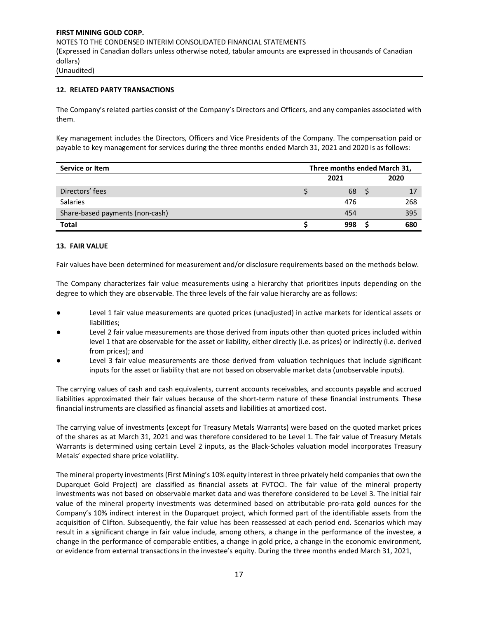## **12. RELATED PARTY TRANSACTIONS**

The Company's related parties consist of the Company's Directors and Officers, and any companies associated with them.

Key management includes the Directors, Officers and Vice Presidents of the Company. The compensation paid or payable to key management for services during the three months ended March 31, 2021 and 2020 is as follows:

| Service or Item                 | Three months ended March 31, |     |  |     |  |  |  |
|---------------------------------|------------------------------|-----|--|-----|--|--|--|
|                                 | 2020<br>2021                 |     |  |     |  |  |  |
| Directors' fees                 |                              | 68  |  | 17  |  |  |  |
| <b>Salaries</b>                 |                              | 476 |  | 268 |  |  |  |
| Share-based payments (non-cash) |                              | 454 |  | 395 |  |  |  |
| <b>Total</b>                    |                              | 998 |  | 680 |  |  |  |

#### **13. FAIR VALUE**

Fair values have been determined for measurement and/or disclosure requirements based on the methods below.

The Company characterizes fair value measurements using a hierarchy that prioritizes inputs depending on the degree to which they are observable. The three levels of the fair value hierarchy are as follows:

- Level 1 fair value measurements are quoted prices (unadjusted) in active markets for identical assets or liabilities;
- Level 2 fair value measurements are those derived from inputs other than quoted prices included within level 1 that are observable for the asset or liability, either directly (i.e. as prices) or indirectly (i.e. derived from prices); and
- Level 3 fair value measurements are those derived from valuation techniques that include significant inputs for the asset or liability that are not based on observable market data (unobservable inputs).

The carrying values of cash and cash equivalents, current accounts receivables, and accounts payable and accrued liabilities approximated their fair values because of the short-term nature of these financial instruments. These financial instruments are classified as financial assets and liabilities at amortized cost.

The carrying value of investments (except for Treasury Metals Warrants) were based on the quoted market prices of the shares as at March 31, 2021 and was therefore considered to be Level 1. The fair value of Treasury Metals Warrants is determined using certain Level 2 inputs, as the Black-Scholes valuation model incorporates Treasury Metals' expected share price volatility.

The mineral property investments (First Mining's 10% equity interest in three privately held companies that own the Duparquet Gold Project) are classified as financial assets at FVTOCI. The fair value of the mineral property investments was not based on observable market data and was therefore considered to be Level 3. The initial fair value of the mineral property investments was determined based on attributable pro-rata gold ounces for the Company's 10% indirect interest in the Duparquet project, which formed part of the identifiable assets from the acquisition of Clifton. Subsequently, the fair value has been reassessed at each period end. Scenarios which may result in a significant change in fair value include, among others, a change in the performance of the investee, a change in the performance of comparable entities, a change in gold price, a change in the economic environment, or evidence from external transactions in the investee's equity. During the three months ended March 31, 2021,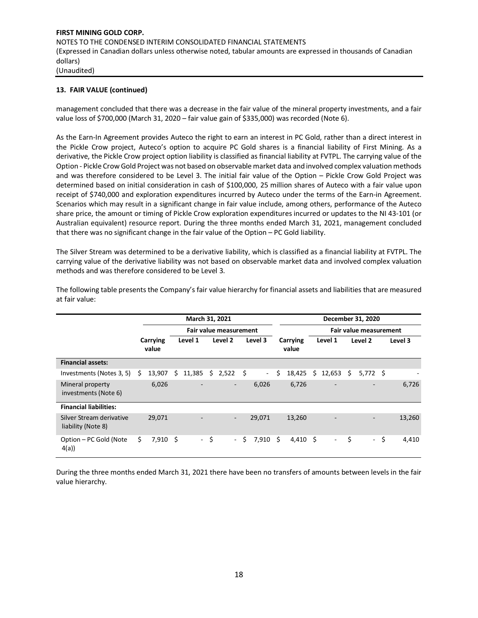## **13. FAIR VALUE (continued)**

management concluded that there was a decrease in the fair value of the mineral property investments, and a fair value loss of \$700,000 (March 31, 2020 – fair value gain of \$335,000) was recorded (Note 6).

As the Earn-In Agreement provides Auteco the right to earn an interest in PC Gold, rather than a direct interest in the Pickle Crow project, Auteco's option to acquire PC Gold shares is a financial liability of First Mining. As a derivative, the Pickle Crow project option liability is classified as financial liability at FVTPL. The carrying value of the Option - Pickle Crow Gold Project was not based on observable market data and involved complex valuation methods and was therefore considered to be Level 3. The initial fair value of the Option – Pickle Crow Gold Project was determined based on initial consideration in cash of \$100,000, 25 million shares of Auteco with a fair value upon receipt of \$740,000 and exploration expenditures incurred by Auteco under the terms of the Earn-in Agreement. Scenarios which may result in a significant change in fair value include, among others, performance of the Auteco share price, the amount or timing of Pickle Crow exploration expenditures incurred or updates to the NI 43-101 (or Australian equivalent) resource report. During the three months ended March 31, 2021, management concluded that there was no significant change in the fair value of the Option – PC Gold liability.

The Silver Stream was determined to be a derivative liability, which is classified as a financial liability at FVTPL. The carrying value of the derivative liability was not based on observable market data and involved complex valuation methods and was therefore considered to be Level 3.

|                                                | March 31, 2021 |                   |   |         |      |                               |     |                          | December 31, 2020 |                   |                        |                |    |                     |     |         |
|------------------------------------------------|----------------|-------------------|---|---------|------|-------------------------------|-----|--------------------------|-------------------|-------------------|------------------------|----------------|----|---------------------|-----|---------|
|                                                |                |                   |   |         |      | <b>Fair value measurement</b> |     |                          |                   |                   | Fair value measurement |                |    |                     |     |         |
|                                                |                | Carrying<br>value |   | Level 1 |      | Level 2                       |     | Level 3                  |                   | Carrying<br>value |                        | Level 1        |    | Level 2             |     | Level 3 |
| <b>Financial assets:</b>                       |                |                   |   |         |      |                               |     |                          |                   |                   |                        |                |    |                     |     |         |
| Investments (Notes 3, 5)                       | S              | 13,907            | S | 11,385  | S    | 2,522                         | -\$ | $\overline{\phantom{a}}$ | \$                | 18,425            | Ś.                     | 12,653         | Ŝ. | 5,772 \$            |     |         |
| Mineral property<br>investments (Note 6)       |                | 6,026             |   |         |      | $\overline{\phantom{a}}$      |     | 6,026                    |                   | 6,726             |                        | ٠              |    |                     |     | 6,726   |
| <b>Financial liabilities:</b>                  |                |                   |   |         |      |                               |     |                          |                   |                   |                        |                |    |                     |     |         |
| Silver Stream derivative<br>liability (Note 8) |                | 29,071            |   |         |      | $\overline{\phantom{a}}$      |     | 29,071                   |                   | 13,260            |                        |                |    |                     |     | 13,260  |
| Option - PC Gold (Note<br>4(a)                 | \$             | $7,910$ \$        |   |         | - \$ | $\sim$                        | Ŝ.  | 7,910                    | Ŝ.                | $4,410$ \$        |                        | $\blacksquare$ | \$ | $\omega_{\rm{eff}}$ | -\$ | 4,410   |

The following table presents the Company's fair value hierarchy for financial assets and liabilities that are measured at fair value:

During the three months ended March 31, 2021 there have been no transfers of amounts between levels in the fair value hierarchy.